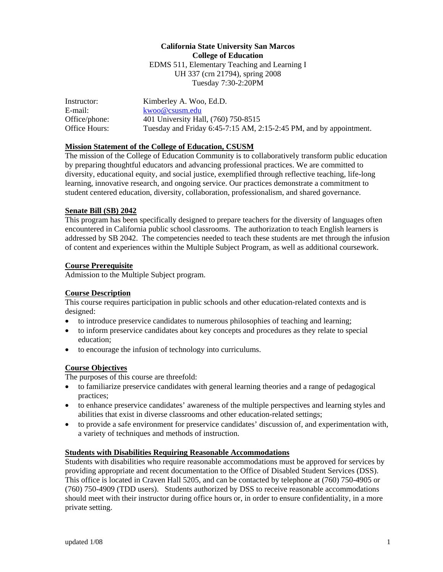## **California State University San Marcos College of Education**  EDMS 511, Elementary Teaching and Learning I UH 337 (crn 21794), spring 2008 Tuesday 7:30-2:20PM

| Instructor:   | Kimberley A. Woo, Ed.D.                                            |
|---------------|--------------------------------------------------------------------|
| E-mail:       | kwoo@csusm.edu                                                     |
| Office/phone: | 401 University Hall, (760) 750-8515                                |
| Office Hours: | Tuesday and Friday 6:45-7:15 AM, 2:15-2:45 PM, and by appointment. |

#### **Mission Statement of the College of Education, CSUSM**

The mission of the College of Education Community is to collaboratively transform public education by preparing thoughtful educators and advancing professional practices. We are committed to diversity, educational equity, and social justice, exemplified through reflective teaching, life-long learning, innovative research, and ongoing service. Our practices demonstrate a commitment to student centered education, diversity, collaboration, professionalism, and shared governance.

#### **Senate Bill (SB) 2042**

This program has been specifically designed to prepare teachers for the diversity of languages often encountered in California public school classrooms. The authorization to teach English learners is addressed by SB 2042. The competencies needed to teach these students are met through the infusion of content and experiences within the Multiple Subject Program, as well as additional coursework.

#### **Course Prerequisite**

Admission to the Multiple Subject program.

#### **Course Description**

This course requires participation in public schools and other education-related contexts and is designed:

- to introduce preservice candidates to numerous philosophies of teaching and learning;
- to inform preservice candidates about key concepts and procedures as they relate to special education;
- to encourage the infusion of technology into curriculums.

#### **Course Objectives**

The purposes of this course are threefold:

- to familiarize preservice candidates with general learning theories and a range of pedagogical practices;
- to enhance preservice candidates' awareness of the multiple perspectives and learning styles and abilities that exist in diverse classrooms and other education-related settings;
- to provide a safe environment for preservice candidates' discussion of, and experimentation with, a variety of techniques and methods of instruction.

#### **Students with Disabilities Requiring Reasonable Accommodations**

Students with disabilities who require reasonable accommodations must be approved for services by providing appropriate and recent documentation to the Office of Disabled Student Services (DSS). This office is located in Craven Hall 5205, and can be contacted by telephone at (760) 750-4905 or (760) 750-4909 (TDD users). Students authorized by DSS to receive reasonable accommodations should meet with their instructor during office hours or, in order to ensure confidentiality, in a more private setting.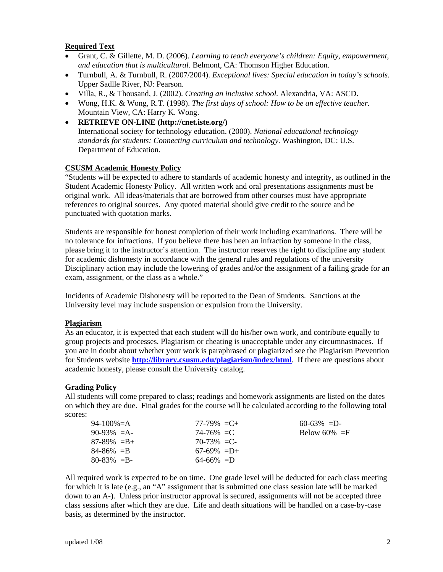## **Required Text**

- Grant, C. & Gillette, M. D. (2006). *Learning to teach everyone's children: Equity, empowerment, and education that is multicultural.* Belmont, CA: Thomson Higher Education.
- Turnbull, A. & Turnbull, R. (2007/2004). *Exceptional lives: Special education in today's schools*. Upper Sadlle River, NJ: Pearson.
- Villa, R., & Thousand, J. (2002). *Creating an inclusive school.* Alexandria, VA: ASCD**.**
- Wong, H.K. & Wong, R.T. (1998). *The first days of school: How to be an effective teacher.* Mountain View, CA: Harry K. Wong.
- **RETRIEVE ON-LINE (http://cnet.iste.org/)** International society for technology education. (2000). *National educational technology standards for students: Connecting curriculum and technology.* Washington, DC: U.S. Department of Education.

#### **CSUSM Academic Honesty Policy**

"Students will be expected to adhere to standards of academic honesty and integrity, as outlined in the Student Academic Honesty Policy. All written work and oral presentations assignments must be original work. All ideas/materials that are borrowed from other courses must have appropriate references to original sources. Any quoted material should give credit to the source and be punctuated with quotation marks.

Students are responsible for honest completion of their work including examinations. There will be no tolerance for infractions. If you believe there has been an infraction by someone in the class, please bring it to the instructor's attention. The instructor reserves the right to discipline any student for academic dishonesty in accordance with the general rules and regulations of the university Disciplinary action may include the lowering of grades and/or the assignment of a failing grade for an exam, assignment, or the class as a whole."

Incidents of Academic Dishonesty will be reported to the Dean of Students. Sanctions at the University level may include suspension or expulsion from the University.

#### **Plagiarism**

As an educator, it is expected that each student will do his/her own work, and contribute equally to group projects and processes. Plagiarism or cheating is unacceptable under any circumnastnaces. If you are in doubt about whether your work is paraphrased or plagiarized see the Plagiarism Prevention for Students website **http://library.csusm.edu/plagiarism/index/html**. If there are questions about academic honesty, please consult the University catalog.

#### **Grading Policy**

All students will come prepared to class; readings and homework assignments are listed on the dates on which they are due. Final grades for the course will be calculated according to the following total scores:

| 94-100\%=A<br>$77-79\% = C +$<br>$60-63\% = D$      |  |
|-----------------------------------------------------|--|
| $90-93\% = A$<br>Below 60% $=$ F<br>$74 - 76\% = C$ |  |
| $87-89\% = B +$<br>$70-73\% = C$                    |  |
| $84 - 86\% = B$<br>$67-69\% = D+$                   |  |
| $80 - 83\% = B$<br>$64-66\% = D$                    |  |

All required work is expected to be on time. One grade level will be deducted for each class meeting for which it is late (e.g., an "A" assignment that is submitted one class session late will be marked down to an A-). Unless prior instructor approval is secured, assignments will not be accepted three class sessions after which they are due. Life and death situations will be handled on a case-by-case basis, as determined by the instructor.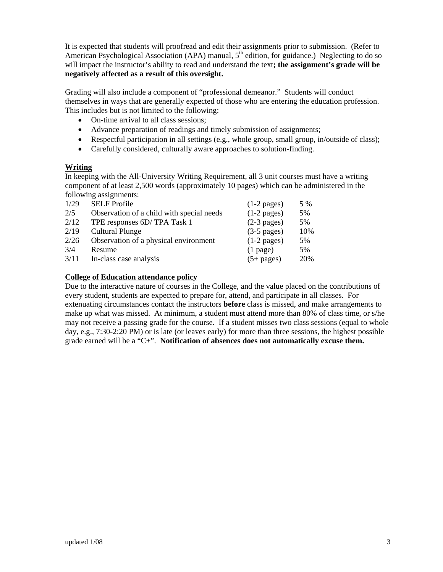It is expected that students will proofread and edit their assignments prior to submission. (Refer to American Psychological Association (APA) manual,  $5<sup>th</sup>$  edition, for guidance.) Neglecting to do so will impact the instructor's ability to read and understand the text**; the assignment's grade will be negatively affected as a result of this oversight.** 

Grading will also include a component of "professional demeanor." Students will conduct themselves in ways that are generally expected of those who are entering the education profession. This includes but is not limited to the following:

- On-time arrival to all class sessions;
- Advance preparation of readings and timely submission of assignments;
- Respectful participation in all settings (e.g., whole group, small group, in/outside of class);
- Carefully considered, culturally aware approaches to solution-finding.

#### **Writing**

In keeping with the All-University Writing Requirement, all 3 unit courses must have a writing component of at least 2,500 words (approximately 10 pages) which can be administered in the following assignments:

| 5%  |
|-----|
| 5%  |
| 10% |
| 5%  |
| 5%  |
| 20% |
|     |

### **College of Education attendance policy**

Due to the interactive nature of courses in the College, and the value placed on the contributions of every student, students are expected to prepare for, attend, and participate in all classes. For extenuating circumstances contact the instructors **before** class is missed, and make arrangements to make up what was missed. At minimum, a student must attend more than 80% of class time, or s/he may not receive a passing grade for the course. If a student misses two class sessions (equal to whole day, e.g., 7:30-2:20 PM) or is late (or leaves early) for more than three sessions, the highest possible grade earned will be a "C+". **Notification of absences does not automatically excuse them.**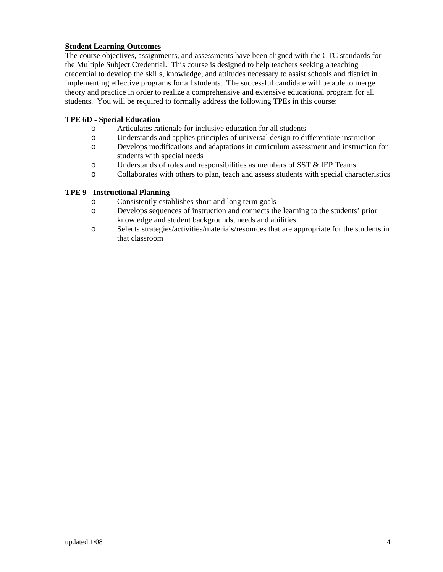### **Student Learning Outcomes**

The course objectives, assignments, and assessments have been aligned with the CTC standards for the Multiple Subject Credential. This course is designed to help teachers seeking a teaching credential to develop the skills, knowledge, and attitudes necessary to assist schools and district in implementing effective programs for all students. The successful candidate will be able to merge theory and practice in order to realize a comprehensive and extensive educational program for all students. You will be required to formally address the following TPEs in this course:

#### **TPE 6D - Special Education**

- o Articulates rationale for inclusive education for all students
- o Understands and applies principles of universal design to differentiate instruction
- o Develops modifications and adaptations in curriculum assessment and instruction for students with special needs
- o Understands of roles and responsibilities as members of SST & IEP Teams
- o Collaborates with others to plan, teach and assess students with special characteristics

#### **TPE 9 - Instructional Planning**

- o Consistently establishes short and long term goals
- o Develops sequences of instruction and connects the learning to the students' prior knowledge and student backgrounds, needs and abilities.
- o Selects strategies/activities/materials/resources that are appropriate for the students in that classroom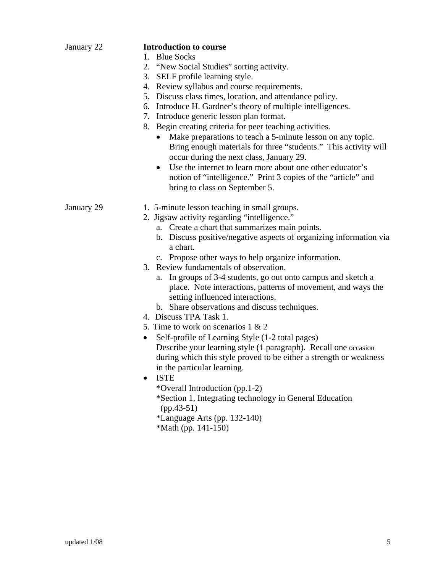| January 22 | <b>Introduction to course</b>                                                                                                                                                                                                                                                                    |
|------------|--------------------------------------------------------------------------------------------------------------------------------------------------------------------------------------------------------------------------------------------------------------------------------------------------|
|            | 1. Blue Socks                                                                                                                                                                                                                                                                                    |
|            | 2. "New Social Studies" sorting activity.                                                                                                                                                                                                                                                        |
|            | 3. SELF profile learning style.                                                                                                                                                                                                                                                                  |
|            | 4. Review syllabus and course requirements.                                                                                                                                                                                                                                                      |
|            | 5. Discuss class times, location, and attendance policy.                                                                                                                                                                                                                                         |
|            | 6. Introduce H. Gardner's theory of multiple intelligences.                                                                                                                                                                                                                                      |
|            | 7. Introduce generic lesson plan format.                                                                                                                                                                                                                                                         |
|            | 8. Begin creating criteria for peer teaching activities.                                                                                                                                                                                                                                         |
|            | Make preparations to teach a 5-minute lesson on any topic.<br>Bring enough materials for three "students." This activity will<br>occur during the next class, January 29.                                                                                                                        |
|            | Use the internet to learn more about one other educator's<br>$\bullet$<br>notion of "intelligence." Print 3 copies of the "article" and<br>bring to class on September 5.                                                                                                                        |
| January 29 | 1. 5-minute lesson teaching in small groups.                                                                                                                                                                                                                                                     |
|            | 2. Jigsaw activity regarding "intelligence."                                                                                                                                                                                                                                                     |
|            | a. Create a chart that summarizes main points.                                                                                                                                                                                                                                                   |
|            | b. Discuss positive/negative aspects of organizing information via<br>a chart.                                                                                                                                                                                                                   |
|            | c. Propose other ways to help organize information.                                                                                                                                                                                                                                              |
|            | 3. Review fundamentals of observation.                                                                                                                                                                                                                                                           |
|            | In groups of 3-4 students, go out onto campus and sketch a<br>a.<br>place. Note interactions, patterns of movement, and ways the<br>setting influenced interactions.<br>b. Share observations and discuss techniques.                                                                            |
|            | 4. Discuss TPA Task 1.                                                                                                                                                                                                                                                                           |
|            | 5. Time to work on scenarios $1 \& 2$                                                                                                                                                                                                                                                            |
|            | Self-profile of Learning Style (1-2 total pages)<br>٠                                                                                                                                                                                                                                            |
|            | Describe your learning style (1 paragraph). Recall one occasion<br>during which this style proved to be either a strength or weakness<br>in the particular learning.<br><b>ISTE</b><br>*Overall Introduction (pp.1-2)<br>*Section 1, Integrating technology in General Education<br>$(pp.43-51)$ |
|            | *Language Arts (pp. 132-140)                                                                                                                                                                                                                                                                     |
|            | *Math (pp. $141-150$ )                                                                                                                                                                                                                                                                           |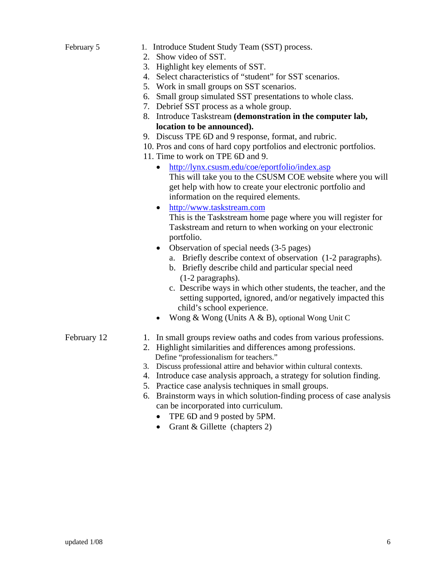| February 5  | 1. Introduce Student Study Team (SST) process.<br>2. Show video of SST.<br>3. Highlight key elements of SST.<br>4. Select characteristics of "student" for SST scenarios.<br>5. Work in small groups on SST scenarios.<br>6. Small group simulated SST presentations to whole class.<br>7. Debrief SST process as a whole group.<br>8. Introduce Taskstream (demonstration in the computer lab,<br>location to be announced).<br>9. Discuss TPE 6D and 9 response, format, and rubric.<br>10. Pros and cons of hard copy portfolios and electronic portfolios.<br>11. Time to work on TPE 6D and 9.<br>http://lynx.csusm.edu/coe/eportfolio/index.asp<br>This will take you to the CSUSM COE website where you will<br>get help with how to create your electronic portfolio and<br>information on the required elements.<br>http://www.taskstream.com<br>$\bullet$<br>This is the Taskstream home page where you will register for<br>Taskstream and return to when working on your electronic<br>portfolio.<br>Observation of special needs (3-5 pages)<br>$\bullet$<br>a. Briefly describe context of observation (1-2 paragraphs).<br>b. Briefly describe child and particular special need<br>$(1-2$ paragraphs).<br>c. Describe ways in which other students, the teacher, and the<br>setting supported, ignored, and/or negatively impacted this<br>child's school experience.<br>Wong & Wong (Units A & B), optional Wong Unit C |
|-------------|------------------------------------------------------------------------------------------------------------------------------------------------------------------------------------------------------------------------------------------------------------------------------------------------------------------------------------------------------------------------------------------------------------------------------------------------------------------------------------------------------------------------------------------------------------------------------------------------------------------------------------------------------------------------------------------------------------------------------------------------------------------------------------------------------------------------------------------------------------------------------------------------------------------------------------------------------------------------------------------------------------------------------------------------------------------------------------------------------------------------------------------------------------------------------------------------------------------------------------------------------------------------------------------------------------------------------------------------------------------------------------------------------------------------------------------|
| February 12 | 1. In small groups review oaths and codes from various professions.<br>2. Highlight similarities and differences among professions.<br>Define "professionalism for teachers."<br>3. Discuss professional attire and behavior within cultural contexts.<br>4. Introduce case analysis approach, a strategy for solution finding.<br>5. Practice case analysis techniques in small groups.<br>6 Projectorm wave in which solution finding process of case analysis                                                                                                                                                                                                                                                                                                                                                                                                                                                                                                                                                                                                                                                                                                                                                                                                                                                                                                                                                                         |

- 6. Brainstorm ways in which solution-finding process of case analysis can be incorporated into curriculum.
	- TPE 6D and 9 posted by 5PM.
	- Grant & Gillette (chapters 2)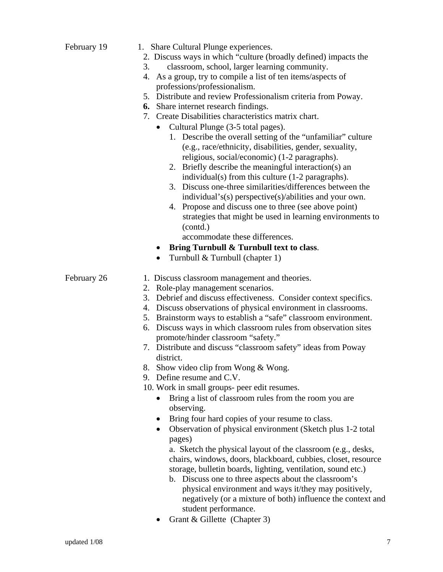|             | 1. Share Cultural Plunge experiences.                                                                                                                                                                                                                                                                                                                                                                                                                                                                                                                                                                                                                               |
|-------------|---------------------------------------------------------------------------------------------------------------------------------------------------------------------------------------------------------------------------------------------------------------------------------------------------------------------------------------------------------------------------------------------------------------------------------------------------------------------------------------------------------------------------------------------------------------------------------------------------------------------------------------------------------------------|
|             | 2. Discuss ways in which "culture (broadly defined) impacts the                                                                                                                                                                                                                                                                                                                                                                                                                                                                                                                                                                                                     |
|             | classroom, school, larger learning community.<br>3.                                                                                                                                                                                                                                                                                                                                                                                                                                                                                                                                                                                                                 |
|             | As a group, try to compile a list of ten items/aspects of<br>4.                                                                                                                                                                                                                                                                                                                                                                                                                                                                                                                                                                                                     |
|             | professions/professionalism.                                                                                                                                                                                                                                                                                                                                                                                                                                                                                                                                                                                                                                        |
|             | 5. Distribute and review Professionalism criteria from Poway.                                                                                                                                                                                                                                                                                                                                                                                                                                                                                                                                                                                                       |
|             | <b>6.</b> Share internet research findings.                                                                                                                                                                                                                                                                                                                                                                                                                                                                                                                                                                                                                         |
|             | 7. Create Disabilities characteristics matrix chart.                                                                                                                                                                                                                                                                                                                                                                                                                                                                                                                                                                                                                |
|             | Cultural Plunge (3-5 total pages).                                                                                                                                                                                                                                                                                                                                                                                                                                                                                                                                                                                                                                  |
|             | 1. Describe the overall setting of the "unfamiliar" culture<br>(e.g., race/ethnicity, disabilities, gender, sexuality,<br>religious, social/economic) (1-2 paragraphs).<br>2. Briefly describe the meaningful interaction(s) an<br>individual(s) from this culture (1-2 paragraphs).<br>3. Discuss one-three similarities/differences between the<br>individual's(s) perspective(s)/abilities and your own.<br>4. Propose and discuss one to three (see above point)<br>strategies that might be used in learning environments to<br>(contd.)<br>accommodate these differences.<br>Bring Turnbull & Turnbull text to class.<br>Turnbull & Turnbull (chapter 1)<br>٠ |
|             |                                                                                                                                                                                                                                                                                                                                                                                                                                                                                                                                                                                                                                                                     |
| February 26 | 1. Discuss classroom management and theories.<br>2. Role-play management scenarios.<br>3. Debrief and discuss effectiveness. Consider context specifics.<br>4. Discuss observations of physical environment in classrooms.<br>5. Brainstorm ways to establish a "safe" classroom environment.<br>6. Discuss ways in which classroom rules from observation sites<br>promote/hinder classroom "safety."<br>7. Distribute and discuss "classroom safety" ideas from Poway                                                                                                                                                                                             |
|             | district.                                                                                                                                                                                                                                                                                                                                                                                                                                                                                                                                                                                                                                                           |
|             |                                                                                                                                                                                                                                                                                                                                                                                                                                                                                                                                                                                                                                                                     |
|             | 8. Show video clip from Wong & Wong.                                                                                                                                                                                                                                                                                                                                                                                                                                                                                                                                                                                                                                |
|             | 9. Define resume and C.V.                                                                                                                                                                                                                                                                                                                                                                                                                                                                                                                                                                                                                                           |
|             | 10. Work in small groups- peer edit resumes.                                                                                                                                                                                                                                                                                                                                                                                                                                                                                                                                                                                                                        |
|             | Bring a list of classroom rules from the room you are<br>observing.                                                                                                                                                                                                                                                                                                                                                                                                                                                                                                                                                                                                 |
|             |                                                                                                                                                                                                                                                                                                                                                                                                                                                                                                                                                                                                                                                                     |
|             | Bring four hard copies of your resume to class.<br>Observation of physical environment (Sketch plus 1-2 total<br>$\bullet$<br>pages)<br>a. Sketch the physical layout of the classroom (e.g., desks,<br>chairs, windows, doors, blackboard, cubbies, closet, resource<br>storage, bulletin boards, lighting, ventilation, sound etc.)<br>b. Discuss one to three aspects about the classroom's<br>physical environment and ways it/they may positively,<br>negatively (or a mixture of both) influence the context and<br>student performance.                                                                                                                      |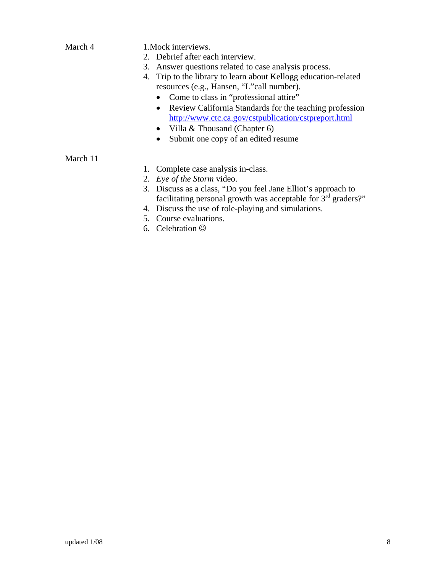| March 4  | 1. Mock interviews.<br>2. Debrief after each interview.<br>Answer questions related to case analysis process.<br>3.<br>Trip to the library to learn about Kellogg education-related<br>4.<br>resources (e.g., Hansen, "L"call number). |
|----------|----------------------------------------------------------------------------------------------------------------------------------------------------------------------------------------------------------------------------------------|
|          | Come to class in "professional attire"<br>$\bullet$                                                                                                                                                                                    |
|          | Review California Standards for the teaching profession<br>$\bullet$<br>http://www.ctc.ca.gov/cstpublication/cstpreport.html<br>Villa & Thousand (Chapter 6)<br>Submit one copy of an edited resume                                    |
| March 11 |                                                                                                                                                                                                                                        |
|          | 1. Complete case analysis in-class.                                                                                                                                                                                                    |
|          | 2. Eye of the Storm video.                                                                                                                                                                                                             |
|          | 3. Discuss as a class, "Do you feel Jane Elliot's approach to<br>facilitating personal growth was acceptable for $3rd$ graders?"                                                                                                       |
|          | 4. Discuss the use of role-playing and simulations.                                                                                                                                                                                    |
|          | Course evaluations.<br>5.                                                                                                                                                                                                              |
|          | 6. Celebration $\odot$                                                                                                                                                                                                                 |
|          |                                                                                                                                                                                                                                        |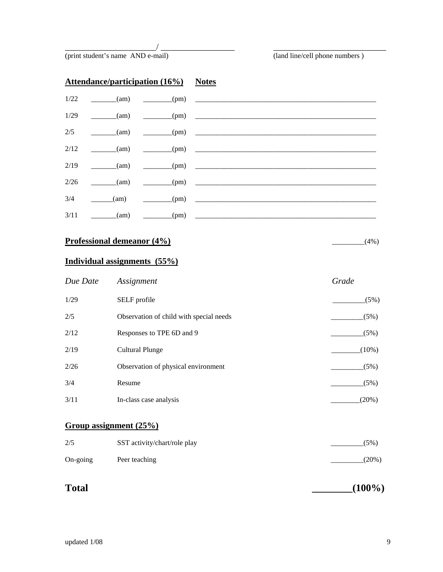(print student's name AND e-mail) (land line/cell phone numbers )

| <b>Attendance/participation (16%)</b> Notes |                        |                                                                                |                                                                               |
|---------------------------------------------|------------------------|--------------------------------------------------------------------------------|-------------------------------------------------------------------------------|
|                                             |                        |                                                                                | $1/22$ (am) (pm)                                                              |
| 1/29                                        |                        | $\frac{1}{\text{min}}$ (am) $\frac{1}{\text{min}}$ (pm) $\frac{1}{\text{min}}$ |                                                                               |
|                                             |                        |                                                                                | $2/5$ (am) (am) (pm)                                                          |
| 2/12                                        | $\frac{1}{2}$ (am)     |                                                                                | $\begin{array}{c} \hline \text{(pm)} \end{array}$                             |
|                                             |                        |                                                                                | $2/19$ (am) (pm)                                                              |
| 2/26                                        | $\frac{\ }{}$ (am)     | $\rule{1em}{0.15mm}$ (pm)                                                      |                                                                               |
| 3/4                                         | $\frac{1}{2}$ (am)     |                                                                                | $\begin{array}{ccc} \hline \text{(pm)} & \text{---} & \text{---} \end{array}$ |
| 3/11                                        | $\frac{1}{\text{tan}}$ | $\frac{1}{\text{pm}}$                                                          |                                                                               |

\_\_\_\_\_\_\_\_\_\_\_\_\_\_\_\_\_\_\_\_\_/ \_\_\_\_\_\_\_\_\_\_\_\_\_\_\_\_\_ \_\_\_\_\_\_\_\_\_\_\_\_\_\_\_\_\_\_\_\_\_\_\_\_\_\_

# **Professional demeanor (4%)**  $(4\%)$

# **Individual assignments (55%)**

| Due Date | Assignment                              | Grade    |
|----------|-----------------------------------------|----------|
| 1/29     | SELF profile                            | (5%)     |
| 2/5      | Observation of child with special needs | (5%)     |
| 2/12     | Responses to TPE 6D and 9               | (5%)     |
| 2/19     | Cultural Plunge                         | $(10\%)$ |
| 2/26     | Observation of physical environment     | (5%)     |
| 3/4      | Resume                                  | (5%)     |
| 3/11     | In-class case analysis                  | $(20\%)$ |

## **Group assignment (25%)**

| 2/5      | SST activity/chart/role play | (5%)     |
|----------|------------------------------|----------|
| On-going | Peer teaching                | $(20\%)$ |

| <b>Total</b> | $(100\%)$ |
|--------------|-----------|
|--------------|-----------|